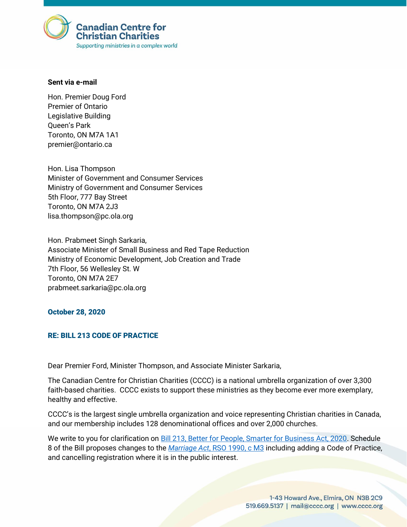

## **Sent via e-mail**

Hon. Premier Doug Ford Premier of Ontario Legislative Building Queen's Park Toronto, ON M7A 1A1 premier@ontario.ca

Hon. Lisa Thompson Minister of Government and Consumer Services Ministry of Government and Consumer Services 5th Floor, 777 Bay Street Toronto, ON M7A 2J3 lisa.thompson@pc.ola.org

Hon. Prabmeet Singh Sarkaria, Associate Minister of Small Business and Red Tape Reduction Ministry of Economic Development, Job Creation and Trade 7th Floor, 56 Wellesley St. W Toronto, ON M7A 2E7 prabmeet.sarkaria@pc.ola.org

## October 28, 2020

## RE: BILL 213 CODE OF PRACTICE

Dear Premier Ford, Minister Thompson, and Associate Minister Sarkaria,

The Canadian Centre for Christian Charities (CCCC) is a national umbrella organization of over 3,300 faith-based charities. CCCC exists to support these ministries as they become ever more exemplary, healthy and effective.

CCCC's is the largest single umbrella organization and voice representing Christian charities in Canada, and our membership includes 128 denominational offices and over 2,000 churches.

We write to you for clarification on [Bill 213, Better for People, Smarter for Business Act, 2020.](https://www.ola.org/en/legislative-business/bills/parliament-42/session-1/bill-213#BK10) Schedule 8 of the Bill proposes changes to the *Marriage Act*[, RSO 1990, c M3](http://canlii.ca/t/54r4b) including adding a Code of Practice, and cancelling registration where it is in the public interest.